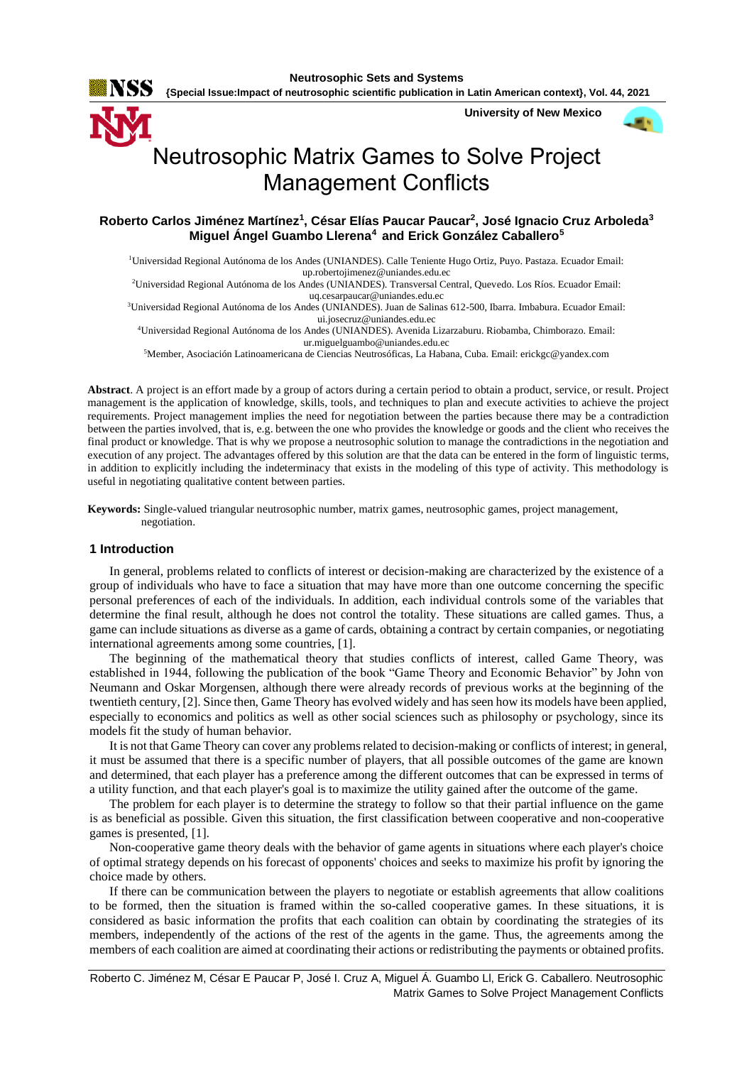

**{Special Issue:Impact of neutrosophic scientific publication in Latin American context}, Vol. 44, 2021**

 **University of New Mexico**



# Neutrosophic Matrix Games to Solve Project Management Conflicts

# **Roberto Carlos Jiménez Martínez<sup>1</sup> , César Elías Paucar Paucar<sup>2</sup> , José Ignacio Cruz Arboleda<sup>3</sup> Miguel Ángel Guambo Llerena<sup>4</sup>and Erick González Caballero<sup>5</sup>**

<sup>1</sup>Universidad Regional Autónoma de los Andes (UNIANDES). Calle Teniente Hugo Ortiz, Puyo. Pastaza. Ecuador Email: up.robertojimenez@uniandes.edu.ec

<sup>2</sup>Universidad Regional Autónoma de los Andes (UNIANDES). Transversal Central, Quevedo. Los Ríos. Ecuador Email: uq.cesarpaucar@uniandes.edu.ec

<sup>3</sup>Universidad Regional Autónoma de los Andes (UNIANDES). Juan de Salinas 612-500, Ibarra. Imbabura. Ecuador Email: ui.josecruz@uniandes.edu.ec

<sup>4</sup>Universidad Regional Autónoma de los Andes (UNIANDES). Avenida Lizarzaburu. Riobamba, Chimborazo. Email: ur.miguelguambo@uniandes.edu.ec

<sup>5</sup>Member, Asociación Latinoamericana de Ciencias Neutrosóficas, La Habana, Cuba. Email: erickgc@yandex.com

**Abstract**. A project is an effort made by a group of actors during a certain period to obtain a product, service, or result. Project management is the application of knowledge, skills, tools, and techniques to plan and execute activities to achieve the project requirements. Project management implies the need for negotiation between the parties because there may be a contradiction between the parties involved, that is, e.g. between the one who provides the knowledge or goods and the client who receives the final product or knowledge. That is why we propose a neutrosophic solution to manage the contradictions in the negotiation and execution of any project. The advantages offered by this solution are that the data can be entered in the form of linguistic terms, in addition to explicitly including the indeterminacy that exists in the modeling of this type of activity. This methodology is useful in negotiating qualitative content between parties.

**Keywords:** Single-valued triangular neutrosophic number, matrix games, neutrosophic games, project management, negotiation.

#### **1 Introduction**

In general, problems related to conflicts of interest or decision-making are characterized by the existence of a group of individuals who have to face a situation that may have more than one outcome concerning the specific personal preferences of each of the individuals. In addition, each individual controls some of the variables that determine the final result, although he does not control the totality. These situations are called games. Thus, a game can include situations as diverse as a game of cards, obtaining a contract by certain companies, or negotiating international agreements among some countries, [\[1\]](#page-6-0).

The beginning of the mathematical theory that studies conflicts of interest, called Game Theory, was established in 1944, following the publication of the book "Game Theory and Economic Behavior" by John von Neumann and Oskar Morgensen, although there were already records of previous works at the beginning of the twentieth century, [\[2\]](#page-6-1). Since then, Game Theory has evolved widely and has seen how its models have been applied, especially to economics and politics as well as other social sciences such as philosophy or psychology, since its models fit the study of human behavior.

It is not that Game Theory can cover any problems related to decision-making or conflicts of interest; in general, it must be assumed that there is a specific number of players, that all possible outcomes of the game are known and determined, that each player has a preference among the different outcomes that can be expressed in terms of a utility function, and that each player's goal is to maximize the utility gained after the outcome of the game.

The problem for each player is to determine the strategy to follow so that their partial influence on the game is as beneficial as possible. Given this situation, the first classification between cooperative and non-cooperative games is presented, [\[1\]](#page-6-0).

Non-cooperative game theory deals with the behavior of game agents in situations where each player's choice of optimal strategy depends on his forecast of opponents' choices and seeks to maximize his profit by ignoring the choice made by others.

If there can be communication between the players to negotiate or establish agreements that allow coalitions to be formed, then the situation is framed within the so-called cooperative games. In these situations, it is considered as basic information the profits that each coalition can obtain by coordinating the strategies of its members, independently of the actions of the rest of the agents in the game. Thus, the agreements among the members of each coalition are aimed at coordinating their actions or redistributing the payments or obtained profits.

Roberto C. Jiménez M, César E Paucar P, José I. Cruz A, Miguel Á. Guambo Ll, Erick G. Caballero. Neutrosophic Matrix Games to Solve Project Management Conflicts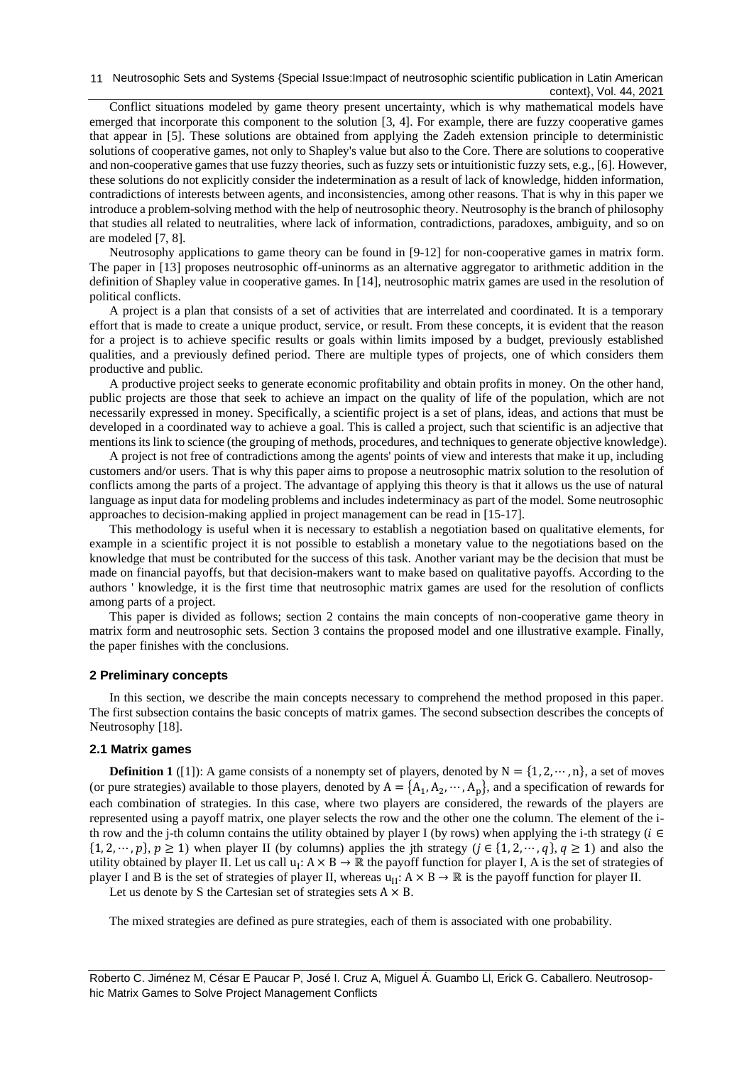11 Neutrosophic Sets and Systems {Special Issue: Impact of neutrosophic scientific publication in Latin American context}, Vol. 44, 2021

Conflict situations modeled by game theory present uncertainty, which is why mathematical models have emerged that incorporate this component to the solution [\[3,](#page-6-2) [4\]](#page-6-3). For example, there are fuzzy cooperative games that appear in [\[5\]](#page-6-4). These solutions are obtained from applying the Zadeh extension principle to deterministic solutions of cooperative games, not only to Shapley's value but also to the Core. There are solutions to cooperative and non-cooperative games that use fuzzy theories, such as fuzzy sets or intuitionistic fuzzy sets, e.g., [\[6\]](#page-6-5). However, these solutions do not explicitly consider the indetermination as a result of lack of knowledge, hidden information, contradictions of interests between agents, and inconsistencies, among other reasons. That is why in this paper we introduce a problem-solving method with the help of neutrosophic theory. Neutrosophy is the branch of philosophy that studies all related to neutralities, where lack of information, contradictions, paradoxes, ambiguity, and so on are modeled [\[7,](#page-6-6) [8\]](#page-6-7).

Neutrosophy applications to game theory can be found in [\[9-12\]](#page-6-8) for non-cooperative games in matrix form. The paper in [\[13\]](#page-6-9) proposes neutrosophic off-uninorms as an alternative aggregator to arithmetic addition in the definition of Shapley value in cooperative games. In [\[14\]](#page-6-10), neutrosophic matrix games are used in the resolution of political conflicts.

A project is a plan that consists of a set of activities that are interrelated and coordinated. It is a temporary effort that is made to create a unique product, service, or result. From these concepts, it is evident that the reason for a project is to achieve specific results or goals within limits imposed by a budget, previously established qualities, and a previously defined period. There are multiple types of projects, one of which considers them productive and public.

A productive project seeks to generate economic profitability and obtain profits in money. On the other hand, public projects are those that seek to achieve an impact on the quality of life of the population, which are not necessarily expressed in money. Specifically, a scientific project is a set of plans, ideas, and actions that must be developed in a coordinated way to achieve a goal. This is called a project, such that scientific is an adjective that mentions its link to science (the grouping of methods, procedures, and techniques to generate objective knowledge).

A project is not free of contradictions among the agents' points of view and interests that make it up, including customers and/or users. That is why this paper aims to propose a neutrosophic matrix solution to the resolution of conflicts among the parts of a project. The advantage of applying this theory is that it allows us the use of natural language as input data for modeling problems and includes indeterminacy as part of the model. Some neutrosophic approaches to decision-making applied in project management can be read in [\[15-17\]](#page-6-11).

This methodology is useful when it is necessary to establish a negotiation based on qualitative elements, for example in a scientific project it is not possible to establish a monetary value to the negotiations based on the knowledge that must be contributed for the success of this task. Another variant may be the decision that must be made on financial payoffs, but that decision-makers want to make based on qualitative payoffs. According to the authors ' knowledge, it is the first time that neutrosophic matrix games are used for the resolution of conflicts among parts of a project.

This paper is divided as follows; section 2 contains the main concepts of non-cooperative game theory in matrix form and neutrosophic sets. Section 3 contains the proposed model and one illustrative example. Finally, the paper finishes with the conclusions.

#### **2 Preliminary concepts**

In this section, we describe the main concepts necessary to comprehend the method proposed in this paper. The first subsection contains the basic concepts of matrix games. The second subsection describes the concepts of Neutrosophy [\[18\]](#page-7-0).

#### **2.1 Matrix games**

**Definition 1** ([\[1\]](#page-6-0)): A game consists of a nonempty set of players, denoted by  $N = \{1, 2, \dots, n\}$ , a set of moves (or pure strategies) available to those players, denoted by  $A = \{A_1, A_2, \dots, A_p\}$ , and a specification of rewards for each combination of strategies. In this case, where two players are considered, the rewards of the players are represented using a payoff matrix, one player selects the row and the other one the column. The element of the ith row and the j-th column contains the utility obtained by player I (by rows) when applying the i-th strategy ( $i \in$  $\{1, 2, \dots, p\}, p \ge 1$ ) when player II (by columns) applies the jth strategy ( $j \in \{1, 2, \dots, q\}, q \ge 1$ ) and also the utility obtained by player II. Let us call  $u_1: A \times B \to \mathbb{R}$  the payoff function for player I, A is the set of strategies of player I and B is the set of strategies of player II, whereas  $u_{II}: A \times B \to \mathbb{R}$  is the payoff function for player II.

Let us denote by S the Cartesian set of strategies sets  $A \times B$ .

The mixed strategies are defined as pure strategies, each of them is associated with one probability.

Roberto C. Jiménez M, César E Paucar P, José I. Cruz A, Miguel Á. Guambo Ll, Erick G. Caballero. Neutrosophic Matrix Games to Solve Project Management Conflicts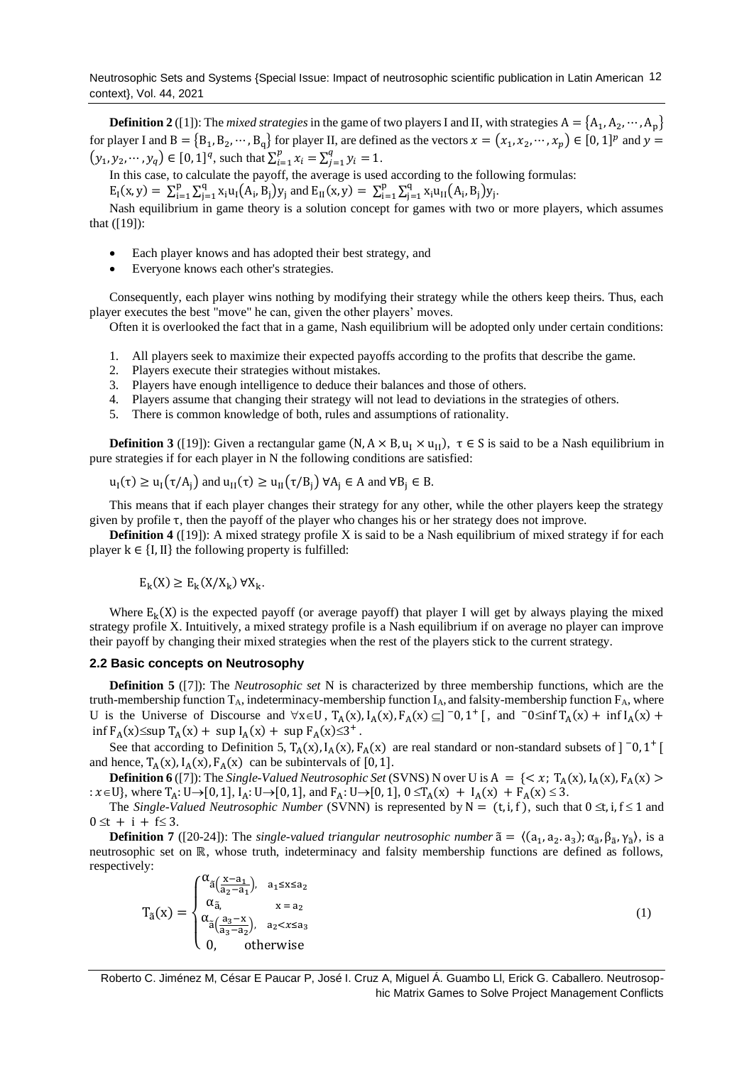**Definition 2** ([\[1\]](#page-6-0)): The *mixed strategies* in the game of two players I and II, with strategies  $A = \{A_1, A_2, \cdots, A_p\}$ for player I and  $B = {B_1, B_2, \dots, B_q}$  for player II, are defined as the vectors  $x = (x_1, x_2, \dots, x_p) \in [0, 1]^p$  and  $y =$  $(y_1, y_2, \dots, y_q) \in [0, 1]^q$ , such that  $\sum_{i=1}^p x_i = \sum_{j=1}^q y_i =$  $y_{i=1}^{q} y_i = 1.$ 

In this case, to calculate the payoff, the average is used according to the following formulas: p p

 $E_{I}(x, y) = \sum_{i=1}^{p} \sum_{j=1}^{q} x_{i} u_{I}(A_{i}, B_{j}) y_{j}$ j=1  $\sum_{i=1}^{p} \sum_{j=1}^{q} x_i u_I (A_i, B_j) y_j$  and  $E_{II}(x, y) = \sum_{i=1}^{p} \sum_{j=1}^{q} x_i u_{II} (A_i, B_j) y_j$ j=1  $_{i=1}^{p} \sum_{j=1}^{q} x_{i} u_{II}(A_{i}, B_{j}) y_{j}.$ 

Nash equilibrium in game theory is a solution concept for games with two or more players, which assumes that ([\[19\]](#page-7-1)):

- Each player knows and has adopted their best strategy, and
- Everyone knows each other's strategies.

Consequently, each player wins nothing by modifying their strategy while the others keep theirs. Thus, each player executes the best "move" he can, given the other players' moves.

Often it is overlooked the fact that in a game, Nash equilibrium will be adopted only under certain conditions:

- 1. All players seek to maximize their expected payoffs according to the profits that describe the game.
- 2. Players execute their strategies without mistakes.
- 3. Players have enough intelligence to deduce their balances and those of others.
- 4. Players assume that changing their strategy will not lead to deviations in the strategies of others.
- 5. There is common knowledge of both, rules and assumptions of rationality.

**Definition 3** ([\[19\]](#page-7-1)): Given a rectangular game  $(N, A \times B, u_1 \times u_1)$ ,  $\tau \in S$  is said to be a Nash equilibrium in pure strategies if for each player in N the following conditions are satisfied:

$$
u_I(\tau) \ge u_I(\tau/A_j)
$$
 and  $u_{II}(\tau) \ge u_{II}(\tau/B_j)$   $\forall A_j \in A$  and  $\forall B_j \in B$ .

This means that if each player changes their strategy for any other, while the other players keep the strategy given by profile τ, then the payoff of the player who changes his or her strategy does not improve.

**Definition 4** ([\[19\]](#page-7-1)): A mixed strategy profile X is said to be a Nash equilibrium of mixed strategy if for each player  $k \in \{I, II\}$  the following property is fulfilled:

$$
E_{k}(X) \geq E_{k}(X/X_{k}) \ \forall X_{k}.
$$

Where  $E_k(X)$  is the expected payoff (or average payoff) that player I will get by always playing the mixed strategy profile X. Intuitively, a mixed strategy profile is a Nash equilibrium if on average no player can improve their payoff by changing their mixed strategies when the rest of the players stick to the current strategy.

#### **2.2 Basic concepts on Neutrosophy**

**Definition 5** ([\[7\]](#page-6-6)): The *Neutrosophic set* N is characterized by three membership functions, which are the truth-membership function  $T_A$ , indeterminacy-membership function  $I_A$ , and falsity-membership function  $F_A$ , where U is the Universe of Discourse and  $\forall x \in U$ ,  $T_A(x)$ ,  $I_A(x)$ ,  $F_A(x) \subseteq ]\n-0$ ,  $1^+$ [, and  $-0 \le \inf T_A(x) + \inf I_A(x) +$  $\inf F_A(x) \leq \sup T_A(x) + \sup I_A(x) + \sup F_A(x) \leq 3^+$ .

See that according to Definition 5,  $T_A(x)$ ,  $I_A(x)$ ,  $F_A(x)$  are real standard or non-standard subsets of  $]$  -0, 1<sup>+</sup> and hence,  $T_A(x)$ ,  $I_A(x)$ ,  $F_A(x)$  can be subintervals of [0, 1].

**Definition 6** ([\[7\]](#page-6-6)): The *Single-Valued Neutrosophic Set* (SVNS) N over U is  $A = \{ \langle x, T_A(x), I_A(x), F_A(x) \rangle \}$ :  $x \in U$ }, where  $T_A: U\to [0,1]$ ,  $I_A: U\to [0,1]$ , and  $F_A: U\to [0,1]$ ,  $0 \le T_A(x) + I_A(x) + F_A(x) \le 3$ .

The *Single-Valued Neutrosophic Number* (SVNN) is represented by  $N = (t, i, f)$ , such that  $0 \le t, i, f \le 1$  and  $0 \le t + i + f \le 3$ .

**Definition 7** ([\[20-24\]](#page-7-2)): The *single-valued triangular neutrosophic number*  $\tilde{a} = \langle (a_1, a_2, a_3); \alpha_{\tilde{a}}, \beta_{\tilde{a}}, \gamma_{\tilde{a}} \rangle$ , is a neutrosophic set on ℝ, whose truth, indeterminacy and falsity membership functions are defined as follows, respectively:

$$
T_{\tilde{a}}(x) = \begin{cases} \alpha_{\tilde{a}}(\frac{x-a_1}{a_2-a_1}), & a_1 \le x \le a_2 \\ \alpha_{\tilde{a}}, & x = a_2 \\ \alpha_{\tilde{a}}(\frac{a_3-x}{a_3-a_2}), & a_2 < x \le a_3 \\ 0, & \text{otherwise} \end{cases} \tag{1}
$$

Roberto C. Jiménez M, César E Paucar P, José I. Cruz A, Miguel Á. Guambo Ll, Erick G. Caballero. Neutrosophic Matrix Games to Solve Project Management Conflicts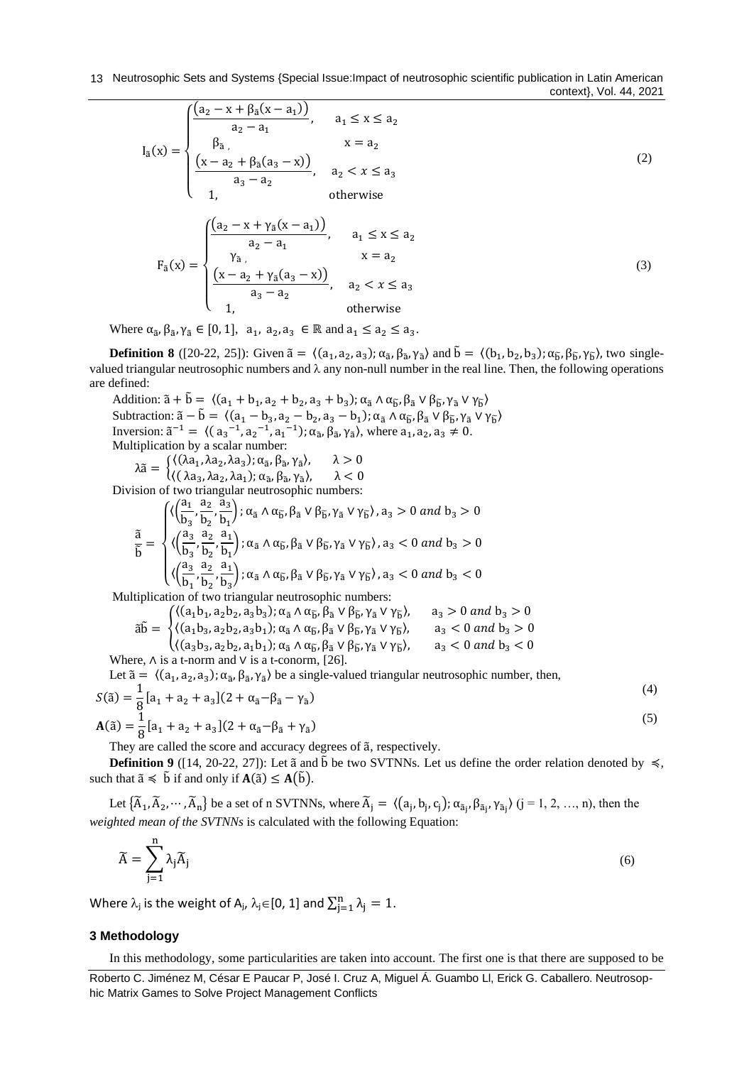13 Neutrosophic Sets and Systems {Special Issue: Impact of neutrosophic scientific publication in Latin American context}, Vol. 44, 2021

$$
I_{\tilde{a}}(x) = \begin{cases} \frac{(a_2 - x + \beta_{\tilde{a}}(x - a_1))}{a_2 - a_1}, & a_1 \le x \le a_2\\ \frac{\beta_{\tilde{a}}}{a_3}, & x = a_2\\ \frac{(x - a_2 + \beta_{\tilde{a}}(a_3 - x))}{a_3 - a_2}, & a_2 < x \le a_3\\ 1, & \text{otherwise} \end{cases}
$$
\n
$$
F_{\tilde{a}}(x) = \begin{cases} \frac{(a_2 - x + \gamma_{\tilde{a}}(x - a_1))}{a_2 - a_1}, & a_1 \le x \le a_2\\ \frac{\gamma_{\tilde{a}}}{a_3}, & x = a_2\\ (x - a_2 + \gamma_{\tilde{a}}(a_3 - x)) & x \le x \le a \end{cases}
$$
\n
$$
(3)
$$

Where  $\alpha_{\tilde{a}}, \beta_{\tilde{a}}, \gamma_{\tilde{a}} \in [0, 1], \ a_1, a_2, a_3 \in \mathbb{R}$  and  $a_1 \le a_2 \le a_3$ .

 $\overline{\mathcal{L}}$  $\overline{1}$ 

**Definition 8** ([\[20-22,](#page-7-2) [25\]](#page-7-3)): Given  $\tilde{a} = \langle (a_1, a_2, a_3); \alpha_{\tilde{a}}, \beta_{\tilde{a}}, \gamma_{\tilde{a}} \rangle$  and  $\tilde{b} = \langle (b_1, b_2, b_3); \alpha_{\tilde{b}}, \beta_{\tilde{b}}, \gamma_{\tilde{b}} \rangle$ , two singlevalued triangular neutrosophic numbers and  $\lambda$  any non-null number in the real line. Then, the following operations are defined:

Addition:  $\tilde{a} + \tilde{b} = \langle (a_1 + b_1, a_2 + b_2, a_3 + b_3) ; \alpha_{\tilde{a}} \wedge \alpha_{\tilde{b}}, \beta_{\tilde{a}} \vee \beta_{\tilde{b}}, \gamma_{\tilde{a}} \vee \gamma_{\tilde{b}} \rangle$ Subtraction:  $\tilde{a} - \tilde{b} = \langle (a_1 - b_3, a_2 - b_2, a_3 - b_1) ; \alpha_{\tilde{a}} \wedge \alpha_{\tilde{b}}, \beta_{\tilde{a}} \vee \beta_{\tilde{b}}, \gamma_{\tilde{a}} \vee \gamma_{\tilde{b}} \rangle$ Inversion:  $\tilde{a}^{-1} = \langle (a_3^{-1}, a_2^{-1}, a_1^{-1}); \alpha_{\tilde{a}}, \beta_{\tilde{a}}, \gamma_{\tilde{a}} \rangle$ , where  $a_1, a_2, a_3 \neq 0$ . Multiplication by a scalar number:  $\lambda \tilde{a} = \begin{cases} \langle (\lambda a_1, \lambda a_2, \lambda a_3); \alpha_{\tilde{a}}, \beta_{\tilde{a}}, \gamma_{\tilde{a}} \rangle, & \lambda > 0, \\ \langle (\lambda a_1, \lambda a_2, \lambda a_3); \alpha_{\tilde{a}}, \beta_{\tilde{a}}, \gamma_{\tilde{a}} \rangle, & \lambda > 0, \end{cases}$  $\langle (\lambda a_3, \lambda a_2, \lambda a_1); \alpha_{\tilde{a}}, \beta_{\tilde{a}}, \gamma_{\tilde{a}} \rangle, \quad \lambda < 0$ 

 $\frac{a_3 - a_2}{a_3 - a_2}$ ,  $a_2 < x \le a_3$ 

1, otherwise

Division of two triangular neutrosophic numbers:

$$
\frac{\tilde{a}}{\tilde{b}} = \begin{cases} \langle \left( \frac{a_1}{b_3}, \frac{a_2}{b_2}, \frac{\tilde{a}_3}{b_1} \right); \alpha_{\tilde{a}} \wedge \alpha_{\tilde{b}}, \beta_{\tilde{a}} \vee \beta_{\tilde{b}}, \gamma_{\tilde{a}} \vee \gamma_{\tilde{b}} \rangle, a_3 > 0 \ and \ b_3 > 0 \\ \langle \left( \frac{a_3}{b_3}, \frac{a_2}{b_2}, \frac{a_1}{b_1} \right); \alpha_{\tilde{a}} \wedge \alpha_{\tilde{b}}, \beta_{\tilde{a}} \vee \beta_{\tilde{b}}, \gamma_{\tilde{a}} \vee \gamma_{\tilde{b}} \rangle, a_3 < 0 \ and \ b_3 > 0 \\ \langle \left( \frac{a_3}{b_1}, \frac{a_2}{b_2}, \frac{a_1}{b_3} \right); \alpha_{\tilde{a}} \wedge \alpha_{\tilde{b}}, \beta_{\tilde{a}} \vee \beta_{\tilde{b}}, \gamma_{\tilde{a}} \vee \gamma_{\tilde{b}} \rangle, a_3 < 0 \ and \ b_3 < 0 \end{cases}
$$

Multiplication of two triangular neutrosophic numbers:

$$
\tilde{a}\tilde{b} = \begin{cases} \langle (a_1b_1, a_2b_2, a_3b_3); \alpha_{\tilde{a}} \wedge \alpha_{\tilde{b}}, \beta_{\tilde{a}} \vee \beta_{\tilde{b}}, \gamma_{\tilde{a}} \vee \gamma_{\tilde{b}} \rangle, & a_3 > 0 \text{ and } b_3 > 0 \\ \langle (a_1b_3, a_2b_2, a_3b_1); \alpha_{\tilde{a}} \wedge \alpha_{\tilde{b}}, \beta_{\tilde{a}} \vee \beta_{\tilde{b}}, \gamma_{\tilde{a}} \vee \gamma_{\tilde{b}} \rangle, & a_3 < 0 \text{ and } b_3 > 0 \\ \langle (a_3b_3, a_2b_2, a_1b_1); \alpha_{\tilde{a}} \wedge \alpha_{\tilde{b}}, \beta_{\tilde{a}} \vee \beta_{\tilde{b}}, \gamma_{\tilde{a}} \vee \gamma_{\tilde{b}} \rangle, & a_3 < 0 \text{ and } b_3 < 0 \end{cases}
$$

Where,  $\Lambda$  is a t-norm and  $\vee$  is a t-conorm, [\[26\]](#page-7-4).

Let  $\tilde{a} = \langle (a_1, a_2, a_3); \alpha_{\tilde{a}}, \beta_{\tilde{a}}, \gamma_{\tilde{a}} \rangle$  be a single-valued triangular neutrosophic number, then,

$$
S(\tilde{a}) = \frac{1}{8} [a_1 + a_2 + a_3] (2 + \alpha_{\tilde{a}} - \beta_{\tilde{a}} - \gamma_{\tilde{a}})
$$
  

$$
A(\tilde{a}) = \frac{1}{8} [a_1 + a_2 + a_3] (2 + \alpha_{\tilde{a}} - \beta_{\tilde{a}} + \gamma_{\tilde{a}})
$$
  
(5)

They are called the score and accuracy degrees of ã, respectively.

**Definition 9** ([\[14,](#page-6-10) [20-22,](#page-7-2) [27\]](#page-7-5)): Let  $\tilde{a}$  and  $\tilde{b}$  be two SVTNNs. Let us define the order relation denoted by  $\leq$ , such that  $\tilde{a} \le \tilde{b}$  if and only if  $A(\tilde{a}) \le A(\tilde{b})$ .

Let  $\{\widetilde{A}_1, \widetilde{A}_2, \cdots, \widetilde{A}_n\}$  be a set of n SVTNNs, where  $\widetilde{A}_j = \langle (a_j, b_j, c_j); \alpha_{\widetilde{a}_j}, \beta_{\widetilde{a}_j}, \gamma_{\widetilde{a}_j} \rangle$   $(j = 1, 2, ..., n)$ , then the *weighted mean of the SVTNNs* is calculated with the following Equation:

$$
\widetilde{A} = \sum_{j=1}^{n} \lambda_j \widetilde{A}_j \tag{6}
$$

Where  $\lambda_j$  is the weight of A<sub>j</sub>,  $\lambda_j \in [0, 1]$  and  $\sum_{j=1}^n \lambda_j = 1$ .

## **3 Methodology**

n

In this methodology, some particularities are taken into account. The first one is that there are supposed to be

Roberto C. Jiménez M, César E Paucar P, José I. Cruz A, Miguel Á. Guambo Ll, Erick G. Caballero. Neutrosophic Matrix Games to Solve Project Management Conflicts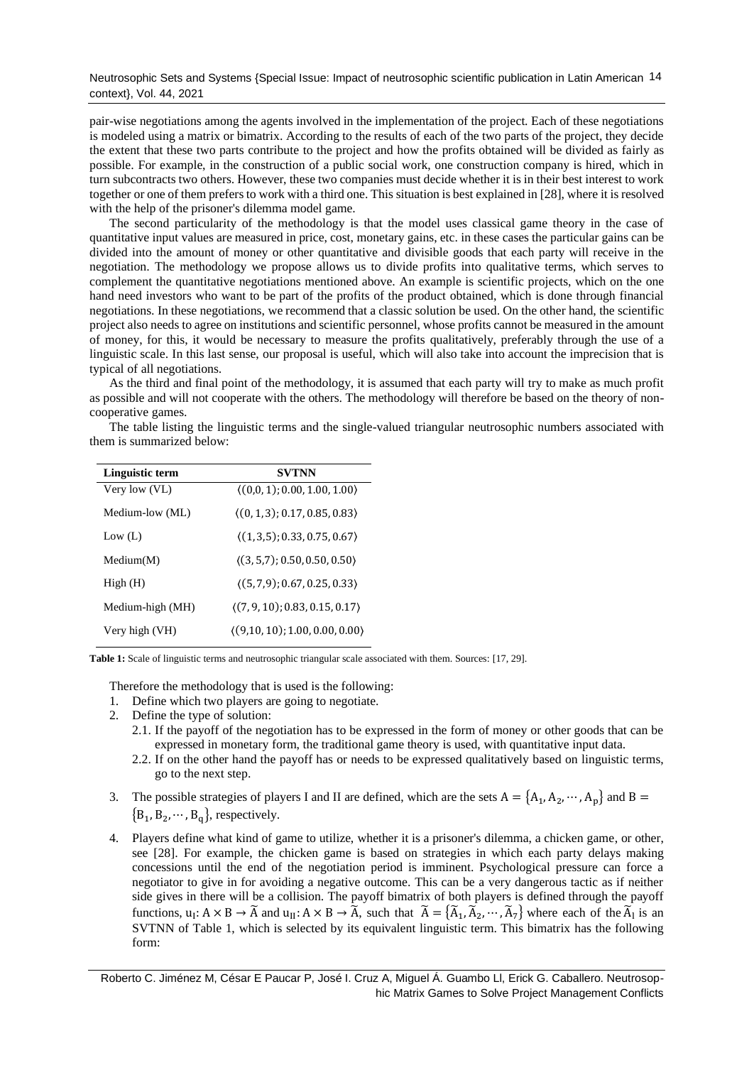# Neutrosophic Sets and Systems {Special Issue: Impact of neutrosophic scientific publication in Latin American 14 context}, Vol. 44, 2021

pair-wise negotiations among the agents involved in the implementation of the project. Each of these negotiations is modeled using a matrix or bimatrix. According to the results of each of the two parts of the project, they decide the extent that these two parts contribute to the project and how the profits obtained will be divided as fairly as possible. For example, in the construction of a public social work, one construction company is hired, which in turn subcontracts two others. However, these two companies must decide whether it is in their best interest to work together or one of them prefers to work with a third one. This situation is best explained in [\[28\]](#page-7-6), where it is resolved with the help of the prisoner's dilemma model game.

The second particularity of the methodology is that the model uses classical game theory in the case of quantitative input values are measured in price, cost, monetary gains, etc. in these cases the particular gains can be divided into the amount of money or other quantitative and divisible goods that each party will receive in the negotiation. The methodology we propose allows us to divide profits into qualitative terms, which serves to complement the quantitative negotiations mentioned above. An example is scientific projects, which on the one hand need investors who want to be part of the profits of the product obtained, which is done through financial negotiations. In these negotiations, we recommend that a classic solution be used. On the other hand, the scientific project also needs to agree on institutions and scientific personnel, whose profits cannot be measured in the amount of money, for this, it would be necessary to measure the profits qualitatively, preferably through the use of a linguistic scale. In this last sense, our proposal is useful, which will also take into account the imprecision that is typical of all negotiations.

As the third and final point of the methodology, it is assumed that each party will try to make as much profit as possible and will not cooperate with the others. The methodology will therefore be based on the theory of noncooperative games.

The table listing the linguistic terms and the single-valued triangular neutrosophic numbers associated with them is summarized below:

| Linguistic term  | <b>SVTNN</b>                                |  |
|------------------|---------------------------------------------|--|
| Very low (VL)    | $(0,0,1)$ ; 0.00, 1.00, 1.00)               |  |
| Medium-low (ML)  | $(0, 1, 3)$ ; 0.17, 0.85, 0.83)             |  |
| Low $(L)$        | $\langle (1,3,5); 0.33, 0.75, 0.67 \rangle$ |  |
| Median(M)        | (3, 5, 7); 0.50, 0.50, 0.50                 |  |
| High(H)          | $(5, 7, 9)$ ; 0.67, 0.25, 0.33)             |  |
| Medium-high (MH) | $(7, 9, 10)$ ; 0.83, 0.15, 0.17)            |  |
| Very high (VH)   | $(9,10,10)$ ; 1.00, 0.00, 0.00)             |  |

**Table 1:** Scale of linguistic terms and neutrosophic triangular scale associated with them. Sources: [\[17,](#page-7-7) [29\]](#page-7-8).

Therefore the methodology that is used is the following:

- 1. Define which two players are going to negotiate.
- 2. Define the type of solution:
	- 2.1. If the payoff of the negotiation has to be expressed in the form of money or other goods that can be expressed in monetary form, the traditional game theory is used, with quantitative input data.
	- 2.2. If on the other hand the payoff has or needs to be expressed qualitatively based on linguistic terms, go to the next step.
- 3. The possible strategies of players I and II are defined, which are the sets  $A = \{A_1, A_2, \dots, A_p\}$  and  $B =$  ${B_1, B_2, \cdots, B_q}$ , respectively.
- 4. Players define what kind of game to utilize, whether it is a prisoner's dilemma, a chicken game, or other, see [\[28\]](#page-7-6). For example, the chicken game is based on strategies in which each party delays making concessions until the end of the negotiation period is imminent. Psychological pressure can force a negotiator to give in for avoiding a negative outcome. This can be a very dangerous tactic as if neither side gives in there will be a collision. The payoff bimatrix of both players is defined through the payoff functions,  $u_1: A \times B \to \tilde{A}$  and  $u_{11}: A \times B \to \tilde{A}$ , such that  $\tilde{A} = {\tilde{A}_1, \tilde{A}_2, \cdots, \tilde{A}_7}$  where each of the  $\tilde{A}_1$  is an SVTNN of Table 1, which is selected by its equivalent linguistic term. This bimatrix has the following form:

Roberto C. Jiménez M, César E Paucar P, José I. Cruz A, Miguel Á. Guambo Ll, Erick G. Caballero. Neutrosophic Matrix Games to Solve Project Management Conflicts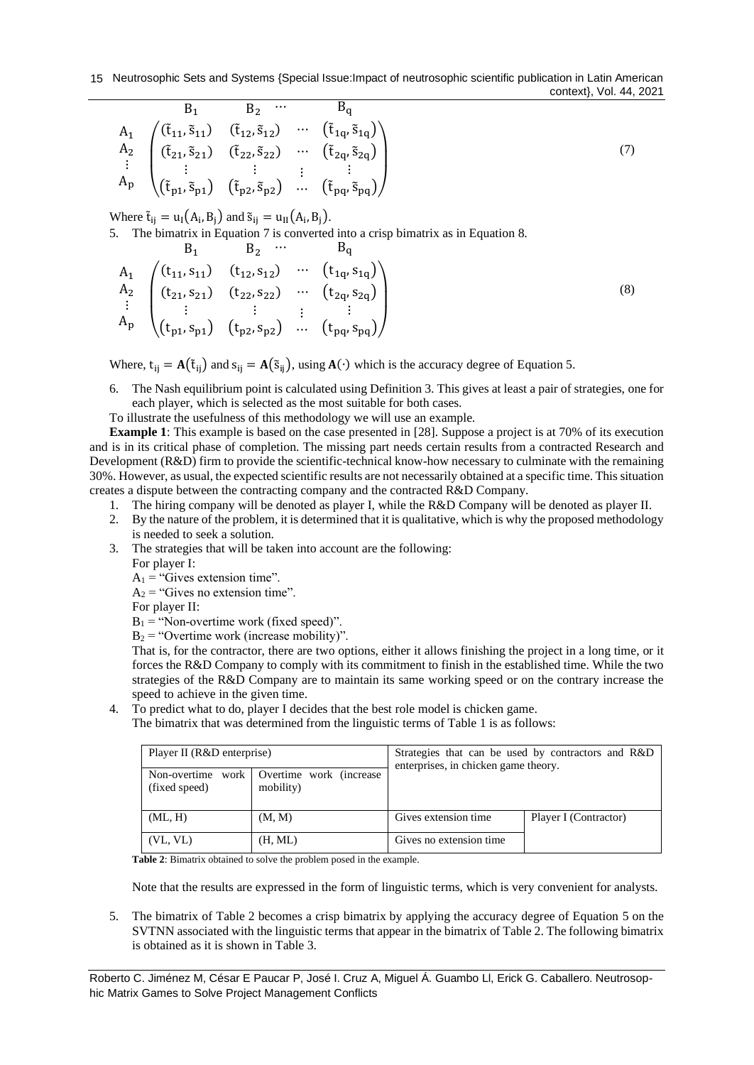$$
B_1 B_2 \cdots B_q
$$
\n
$$
A_1 \begin{pmatrix} (\tilde{t}_{11}, \tilde{s}_{11}) & (\tilde{t}_{12}, \tilde{s}_{12}) & \cdots & (\tilde{t}_{1q}, \tilde{s}_{1q}) \\ (\tilde{t}_{21}, \tilde{s}_{21}) & (\tilde{t}_{22}, \tilde{s}_{22}) & \cdots & (\tilde{t}_{2q}, \tilde{s}_{2q}) \\ \vdots & \vdots & \vdots & \vdots & \vdots \\ (\tilde{t}_{p1}, \tilde{s}_{p1}) & (\tilde{t}_{p2}, \tilde{s}_{p2}) & \cdots & (\tilde{t}_{pq}, \tilde{s}_{pq}) \end{pmatrix}
$$
\n(7)

Where  $\tilde{t}_{ij} = u_I(A_i, B_j)$  and  $\tilde{s}_{ij} = u_{II}(A_i, B_j)$ .

5. The bimatrix in Equation 7 is converted into a crisp bimatrix as in Equation 8.

$$
B_1 \t B_2 \t \cdots \t B_q
$$
  
\n
$$
A_1 \t \begin{pmatrix} (t_{11}, s_{11}) & (t_{12}, s_{12}) & \cdots & (t_{1q}, s_{1q}) \\ (t_{21}, s_{21}) & (t_{22}, s_{22}) & \cdots & (t_{2q}, s_{2q}) \\ \vdots & \vdots & \vdots & \vdots & \vdots \\ (t_{p1}, s_{p1}) & (t_{p2}, s_{p2}) & \cdots & (t_{pq}, s_{pq}) \end{pmatrix}
$$
\n(8)

Where,  $t_{ij} = A(\tilde{t}_{ij})$  and  $s_{ij} = A(\tilde{s}_{ij})$ , using  $A(\cdot)$  which is the accuracy degree of Equation 5.

- 6. The Nash equilibrium point is calculated using Definition 3. This gives at least a pair of strategies, one for each player, which is selected as the most suitable for both cases.
- To illustrate the usefulness of this methodology we will use an example.

**Example 1**: This example is based on the case presented in [\[28\]](#page-7-6). Suppose a project is at 70% of its execution and is in its critical phase of completion. The missing part needs certain results from a contracted Research and Development (R&D) firm to provide the scientific-technical know-how necessary to culminate with the remaining 30%. However, as usual, the expected scientific results are not necessarily obtained at a specific time. This situation creates a dispute between the contracting company and the contracted R&D Company.

- 1. The hiring company will be denoted as player I, while the R&D Company will be denoted as player II.
- 2. By the nature of the problem, it is determined that it is qualitative, which is why the proposed methodology is needed to seek a solution.
- 3. The strategies that will be taken into account are the following: For player I:

 $A_1$  = "Gives extension time".

 $A_2$  = "Gives no extension time".

For player II:

 $B_1$  = "Non-overtime work (fixed speed)".

 $B_2$  = "Overtime work (increase mobility)".

That is, for the contractor, there are two options, either it allows finishing the project in a long time, or it forces the R&D Company to comply with its commitment to finish in the established time. While the two strategies of the R&D Company are to maintain its same working speed or on the contrary increase the speed to achieve in the given time.

- 4. To predict what to do, player I decides that the best role model is chicken game.
	- The bimatrix that was determined from the linguistic terms of Table 1 is as follows:

| Player II (R&D enterprise)         |                                       | Strategies that can be used by contractors and R&D<br>enterprises, in chicken game theory. |                       |
|------------------------------------|---------------------------------------|--------------------------------------------------------------------------------------------|-----------------------|
| Non-overtime work<br>(fixed speed) | Overtime work (increase)<br>mobility) |                                                                                            |                       |
| (ML, H)                            | (M, M)                                | Gives extension time                                                                       | Player I (Contractor) |
| (VL, VL)                           | (H, ML)                               | Gives no extension time                                                                    |                       |

**Table 2**: Bimatrix obtained to solve the problem posed in the example.

Note that the results are expressed in the form of linguistic terms, which is very convenient for analysts.

5. The bimatrix of Table 2 becomes a crisp bimatrix by applying the accuracy degree of Equation 5 on the SVTNN associated with the linguistic terms that appear in the bimatrix of Table 2. The following bimatrix is obtained as it is shown in Table 3.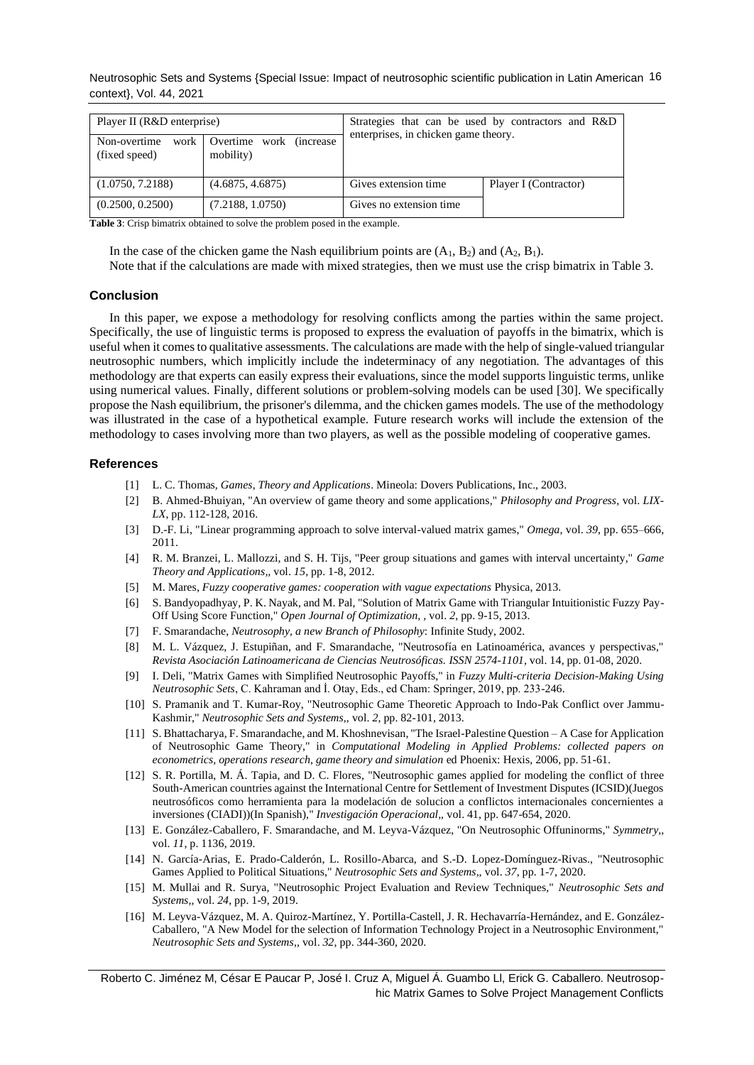Neutrosophic Sets and Systems {Special Issue: Impact of neutrosophic scientific publication in Latin American 16 context}, Vol. 44, 2021

| Player II (R&D enterprise)              |                                       | Strategies that can be used by contractors and R&D<br>enterprises, in chicken game theory. |                       |
|-----------------------------------------|---------------------------------------|--------------------------------------------------------------------------------------------|-----------------------|
| Non-overtime<br>work 1<br>(fixed speed) | Overtime work (increase)<br>mobility) |                                                                                            |                       |
| (1.0750, 7.2188)                        | (4.6875, 4.6875)                      | Gives extension time                                                                       | Player I (Contractor) |
| (0.2500, 0.2500)                        | (7.2188, 1.0750)                      | Gives no extension time.                                                                   |                       |

**Table 3**: Crisp bimatrix obtained to solve the problem posed in the example.

In the case of the chicken game the Nash equilibrium points are  $(A_1, B_2)$  and  $(A_2, B_1)$ . Note that if the calculations are made with mixed strategies, then we must use the crisp bimatrix in Table 3.

### **Conclusion**

In this paper, we expose a methodology for resolving conflicts among the parties within the same project. Specifically, the use of linguistic terms is proposed to express the evaluation of payoffs in the bimatrix, which is useful when it comes to qualitative assessments. The calculations are made with the help of single-valued triangular neutrosophic numbers, which implicitly include the indeterminacy of any negotiation. The advantages of this methodology are that experts can easily express their evaluations, since the model supports linguistic terms, unlike using numerical values. Finally, different solutions or problem-solving models can be used [\[30\]](#page-7-9). We specifically propose the Nash equilibrium, the prisoner's dilemma, and the chicken games models. The use of the methodology was illustrated in the case of a hypothetical example. Future research works will include the extension of the methodology to cases involving more than two players, as well as the possible modeling of cooperative games.

#### <span id="page-6-1"></span>**References**

- <span id="page-6-0"></span>[1] L. C. Thomas, *Games, Theory and Applications*. Mineola: Dovers Publications, Inc., 2003.
- [2] B. Ahmed-Bhuiyan, "An overview of game theory and some applications," *Philosophy and Progress,* vol. *LIX-LX*, pp. 112-128, 2016.
- <span id="page-6-2"></span>[3] D.-F. Li, "Linear programming approach to solve interval-valued matrix games," *Omega,* vol. *39*, pp. 655–666, 2011.
- <span id="page-6-3"></span>[4] R. M. Branzei, L. Mallozzi, and S. H. Tijs, "Peer group situations and games with interval uncertainty," *Game Theory and Applications,,* vol. *15*, pp. 1-8, 2012.
- <span id="page-6-4"></span>[5] M. Mares, *Fuzzy cooperative games: cooperation with vague expectations* Physica, 2013.
- <span id="page-6-5"></span>[6] S. Bandyopadhyay, P. K. Nayak, and M. Pal, "Solution of Matrix Game with Triangular Intuitionistic Fuzzy Pay-Off Using Score Function," *Open Journal of Optimization, ,* vol. *2*, pp. 9-15, 2013.
- <span id="page-6-6"></span>[7] F. Smarandache, *Neutrosophy, a new Branch of Philosophy*: Infinite Study, 2002.
- <span id="page-6-7"></span>[8] M. L. Vázquez, J. Estupiñan, and F. Smarandache, "Neutrosofía en Latinoamérica, avances y perspectivas," *Revista Asociación Latinoamericana de Ciencias Neutrosóficas. ISSN 2574-1101,* vol. 14, pp. 01-08, 2020.
- <span id="page-6-8"></span>[9] I. Deli, "Matrix Games with Simplified Neutrosophic Payoffs," in *Fuzzy Multi-criteria Decision-Making Using Neutrosophic Sets*, C. Kahraman and İ. Otay, Eds., ed Cham: Springer, 2019, pp. 233-246.
- [10] S. Pramanik and T. Kumar-Roy, "Neutrosophic Game Theoretic Approach to Indo-Pak Conflict over Jammu-Kashmir," *Neutrosophic Sets and Systems,,* vol. *2*, pp. 82-101, 2013.
- [11] S. Bhattacharya, F. Smarandache, and M. Khoshnevisan, "The Israel-Palestine Question A Case for Application of Neutrosophic Game Theory," in *Computational Modeling in Applied Problems: collected papers on econometrics, operations research, game theory and simulation* ed Phoenix: Hexis, 2006, pp. 51-61.
- [12] S. R. Portilla, M. Á. Tapia, and D. C. Flores, "Neutrosophic games applied for modeling the conflict of three South-American countries against the International Centre for Settlement of Investment Disputes (ICSID)(Juegos neutrosóficos como herramienta para la modelación de solucion a conflictos internacionales concernientes a inversiones (CIADI))(In Spanish)," *Investigación Operacional,,* vol. 41, pp. 647-654, 2020.
- <span id="page-6-9"></span>[13] E. González-Caballero, F. Smarandache, and M. Leyva-Vázquez, "On Neutrosophic Offuninorms," *Symmetry,,*  vol. *11*, p. 1136, 2019.
- <span id="page-6-10"></span>[14] N. García-Arias, E. Prado-Calderón, L. Rosillo-Abarca, and S.-D. Lopez-Domínguez-Rivas., "Neutrosophic Games Applied to Political Situations," *Neutrosophic Sets and Systems,,* vol. *37*, pp. 1-7, 2020.
- <span id="page-6-11"></span>[15] M. Mullai and R. Surya, "Neutrosophic Project Evaluation and Review Techniques," *Neutrosophic Sets and Systems,,* vol. *24*, pp. 1-9, 2019.
- [16] M. Leyva-Vázquez, M. A. Quiroz-Martínez, Y. Portilla-Castell, J. R. Hechavarría-Hernández, and E. González-Caballero, "A New Model for the selection of Information Technology Project in a Neutrosophic Environment," *Neutrosophic Sets and Systems,,* vol. *32*, pp. 344-360, 2020.

Roberto C. Jiménez M, César E Paucar P, José I. Cruz A, Miguel Á. Guambo Ll, Erick G. Caballero. Neutrosophic Matrix Games to Solve Project Management Conflicts